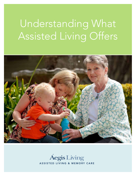# Understanding What Assisted Living Offers



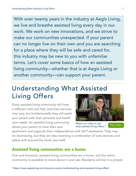With over twenty years in the industry at Aegis Living, we live and breathe assisted living every day in our work. We work on new innovations, and we strive to make our communities unexpected. If your parent can no longer live on their own and you are searching for a place where they will be safe and cared for, this industry may be new to you with unfamiliar terms. Let's cover some basics of how an assisted living community—whether that is at Aegis Living or another community—can support your parent.

## Understanding What Assisted Living Offers

Every assisted living community will have a different look and feel, and their services may vary, but fundamentally they will assist your parent with their personal and health care needs. An assisted living community allows your parent to have their own

**JUDY MELELIAT** 

[Play Video](https://youtu.be/tLQh1px_cDo) *Watch our video to see what assisted living offers.\**

apartment and supports their independence with 24/7 assistance. They may be downsizing, but they are also receiving a combination of care services and safety with around-the-clock care staff.

### Assisted living communites are a home.

First and foremost, assisted living communities are a home, and the entire community is available to move about in and use. Residents will live in a private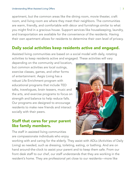apartment, but the common areas like the dining room, movie theater, craft room, and living room are where they meet their neighbors. The communities are warm, friendly, and comfortable with décor and furnishings similar to what you might find in a gracious house. Support services like housekeeping, laundry, and transportation are available for the convenience of the residents. Having their own apartment allows for residents to determine their own level of privacy.

#### Daily social activities keep residents active and engaged.

Assisted living communities are based on a social model with daily, rotating activities to keep residents active and engaged. These activities will vary

depending on the community and location, but common activities are local outings, exercise classes, games, and other forms of entertainment. Aegis Living has a robust Life Enrichment program with educational programs that include TED talks, travelogues, brain teasers, music and the arts, and exercise programs to focus on strength and balance to help reduce falls. Our programs are designed to encourage residents to make new friends and interact socially with their peers.

#### Staff that cares for your parent like family members.

The staff in assisted living communities are compassionate individuals who enjoy

working with and caring for the elderly. They assist with ADLs (Activities of Daily Living) as needed, such as dressing, toileting, eating, or bathing. And are on hand around-the-clock to assist your parent and to keep them safe. From our front desk staff to our chef, our staff understands that they are working in the resident's home. They are professional yet close to our residents—more like